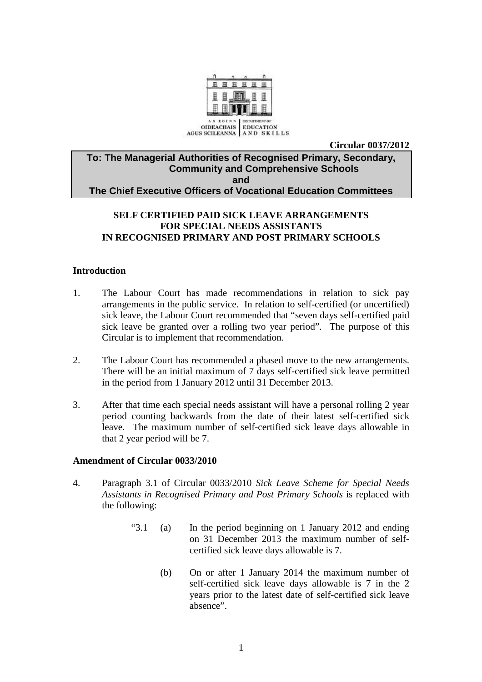

**Circular 0037/2012** 

## **To: The Managerial Authorities of Recognised Primary, Secondary, Community and Comprehensive Schools and The Chief Executive Officers of Vocational Education Committees**

# **SELF CERTIFIED PAID SICK LEAVE ARRANGEMENTS FOR SPECIAL NEEDS ASSISTANTS IN RECOGNISED PRIMARY AND POST PRIMARY SCHOOLS**

## **Introduction**

- 1. The Labour Court has made recommendations in relation to sick pay arrangements in the public service. In relation to self-certified (or uncertified) sick leave, the Labour Court recommended that "seven days self-certified paid sick leave be granted over a rolling two year period". The purpose of this Circular is to implement that recommendation.
- 2. The Labour Court has recommended a phased move to the new arrangements. There will be an initial maximum of 7 days self-certified sick leave permitted in the period from 1 January 2012 until 31 December 2013.
- 3. After that time each special needs assistant will have a personal rolling 2 year period counting backwards from the date of their latest self-certified sick leave. The maximum number of self-certified sick leave days allowable in that 2 year period will be 7.

#### **Amendment of Circular 0033/2010**

- 4. Paragraph 3.1 of Circular 0033/2010 *Sick Leave Scheme for Special Needs Assistants in Recognised Primary and Post Primary Schools* is replaced with the following:
	- "3.1 (a) In the period beginning on 1 January 2012 and ending on 31 December 2013 the maximum number of selfcertified sick leave days allowable is 7.
		- (b) On or after 1 January 2014 the maximum number of self-certified sick leave days allowable is 7 in the 2 years prior to the latest date of self-certified sick leave absence".